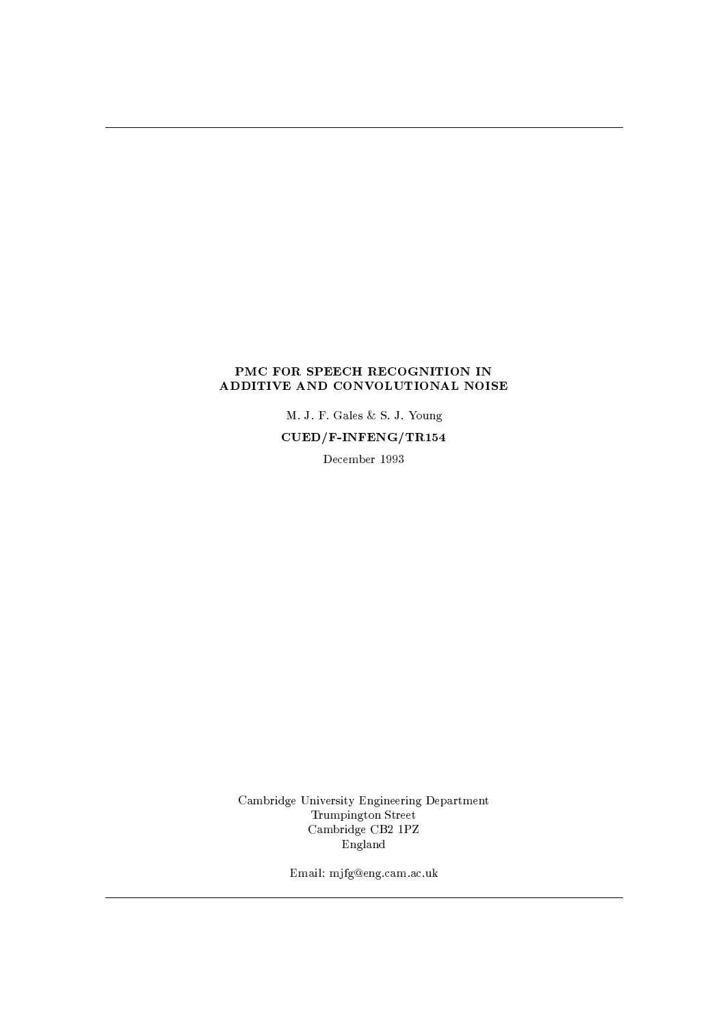## PMC FOR SPEECH RECOGNITION IN ADDITIVE AND CONVOLUTIONAL NOISE

M. J. F. Gales & S. J. Young

 $CUED/F-INFERG/TR154$ 

December 1993

Cambridge University Engineering Department Trumpington Street Cambridge CB2 1PZ England

Email: mjfg@eng.cam.ac.uk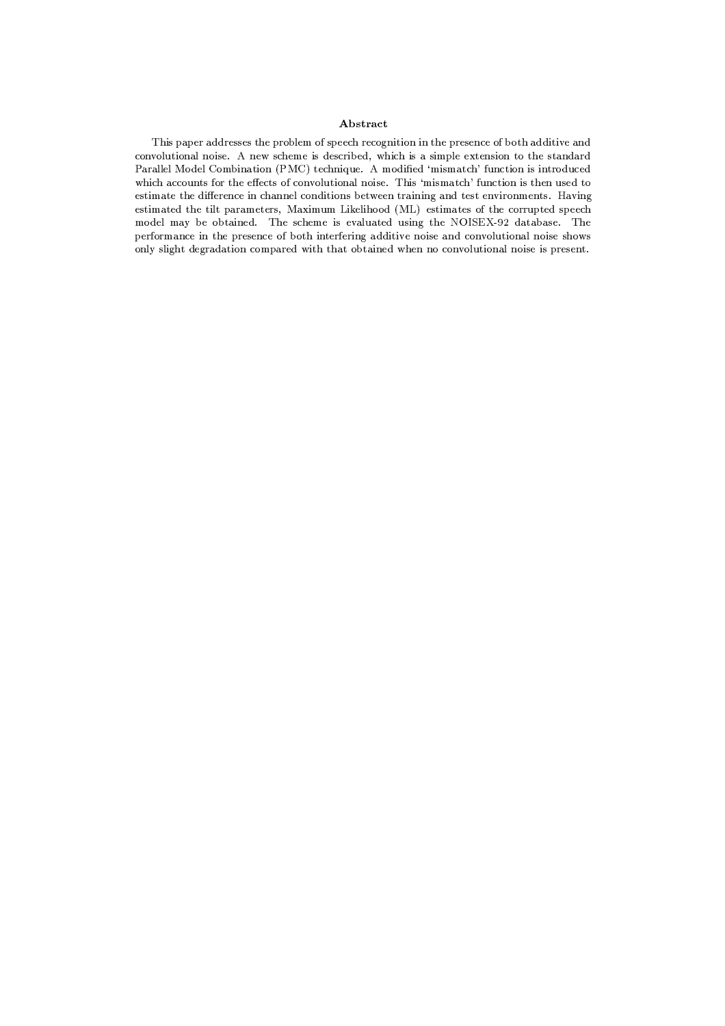## Abstract

This paper addresses the problem of speech recognition in the presence of both additive and convolutional noise. A new scheme is described, which is a simple extension to the standard Parallel Model Combination (PMC) technique. A modified 'mismatch' function is introduced which accounts for the effects of convolutional noise. This 'mismatch' function is then used to estimate the difference in channel conditions between training and test environments. Having estimated the tilt parameters, Maximum Likelihood (ML) estimates of the corrupted speech model may be obtained. The scheme is evaluated using the NOISEX-92 database. The performance in the presence of both interfering additive noise and convolutional noise shows only slight degradation compared with that obtained when no convolutional noise is present.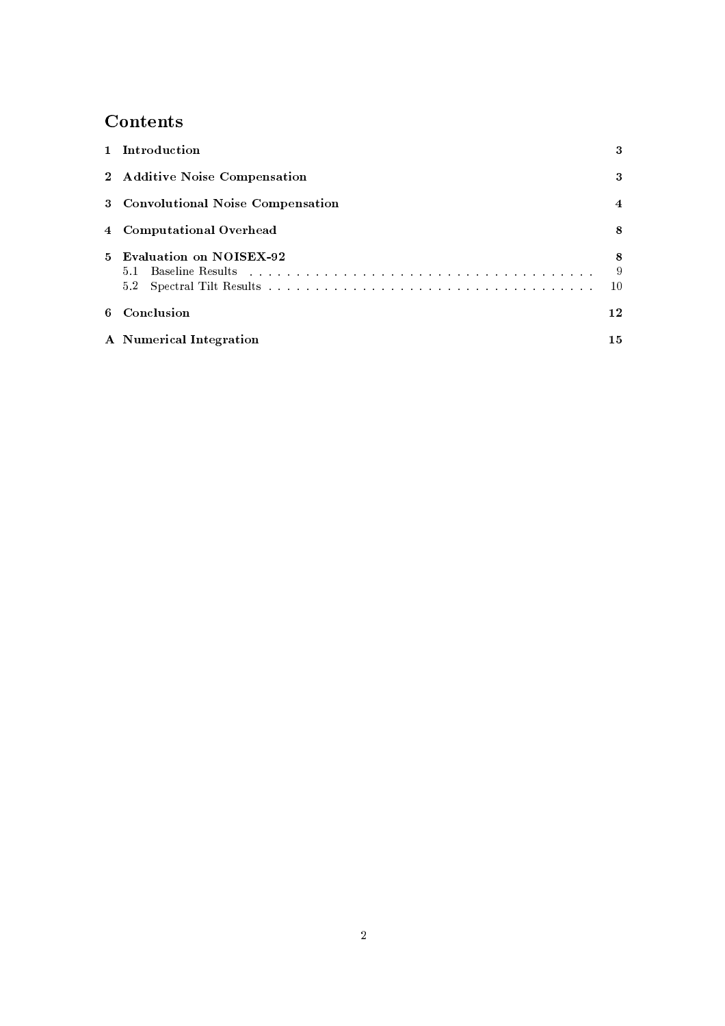# Contents

| 1 Introduction                     | 3             |
|------------------------------------|---------------|
| 2 Additive Noise Compensation      | 3             |
| 3 Convolutional Noise Compensation | 4             |
| 4 Computational Overhead           | 8             |
| 5 Evaluation on NOISEX-92<br>52    | 8<br>-9<br>10 |
| 6 Conclusion                       | 12            |
| A Numerical Integration            | 15.           |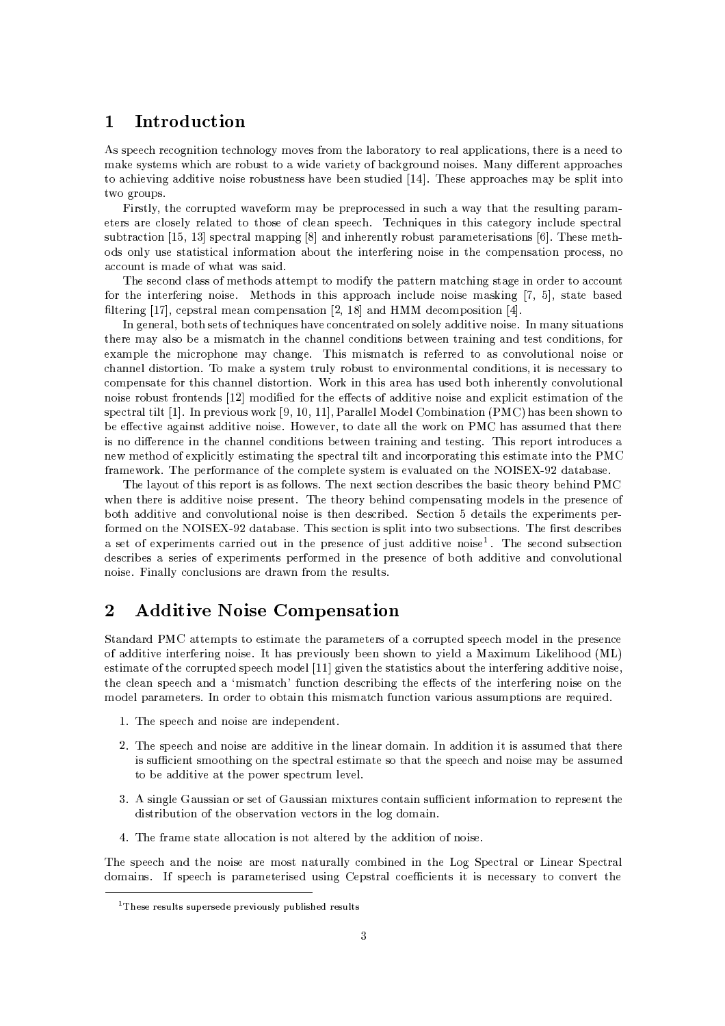### Introduction  $\mathbf{1}$

As speech recognition technology moves from the laboratory to real applications, there is a need to make systems which are robust to a wide variety of background noises. Many different approaches to achieving additive noise robustness have been studied [14]. These approaches may be split into two groups.

Firstly, the corrupted waveform may be preprocessed in such a way that the resulting parameters are closely related to those of clean speech. Techniques in this category include spectral subtraction [15, 13] spectral mapping  $[8]$  and inherently robust parameterisations  $[6]$ . These methods only use statistical information about the interfering noise in the compensation process, no account is made of what was said.

The second class of methods attempt to modify the pattern matching stage in order to account for the interfering noise. Methods in this approach include noise masking [7, 5], state based filtering [17], cepstral mean compensation [2, 18] and HMM decomposition [4].

In general, both sets of techniques have concentrated on solely additive noise. In many situations there may also be a mismatch in the channel conditions between training and test conditions, for example the microphone may change. This mismatch is referred to as convolutional noise or channel distortion. To make a system truly robust to environmental conditions, it is necessary to compensate for this channel distortion. Work in this area has used both inherently convolutional noise robust frontends [12] modified for the effects of additive noise and explicit estimation of the spectral tilt [1]. In previous work [9, 10, 11], Parallel Model Combination (PMC) has been shown to be effective against additive noise. However, to date all the work on PMC has assumed that there is no difference in the channel conditions between training and testing. This report introduces a new method of explicitly estimating the spectral tilt and incorporating this estimate into the PMC framework. The performance of the complete system is evaluated on the NOISEX-92 database.

The layout of this report is as follows. The next section describes the basic theory behind PMC when there is additive noise present. The theory behind compensating models in the presence of both additive and convolutional noise is then described. Section 5 details the experiments performed on the NOISEX-92 database. This section is split into two subsections. The first describes a set of experiments carried out in the presence of just additive noise<sup>1</sup>. The second subsection describes a series of experiments performed in the presence of both additive and convolutional noise. Finally conclusions are drawn from the results.

## $\overline{2}$ **Additive Noise Compensation**

Standard PMC attempts to estimate the parameters of a corrupted speech model in the presence of additive interfering noise. It has previously been shown to yield a Maximum Likelihood (ML) estimate of the corrupted speech model [11] given the statistics about the interfering additive noise, the clean speech and a 'mismatch' function describing the effects of the interfering noise on the model parameters. In order to obtain this mismatch function various assumptions are required.

- 1. The speech and noise are independent.
- 2. The speech and noise are additive in the linear domain. In addition it is assumed that there is sufficient smoothing on the spectral estimate so that the speech and noise may be assumed to be additive at the power spectrum level.
- 3. A single Gaussian or set of Gaussian mixtures contain sufficient information to represent the distribution of the observation vectors in the log domain.
- 4. The frame state allocation is not altered by the addition of noise.

The speech and the noise are most naturally combined in the Log Spectral or Linear Spectral domains. If speech is parameterised using Cepstral coefficients it is necessary to convert the

<sup>&</sup>lt;sup>1</sup>These results supersede previously published results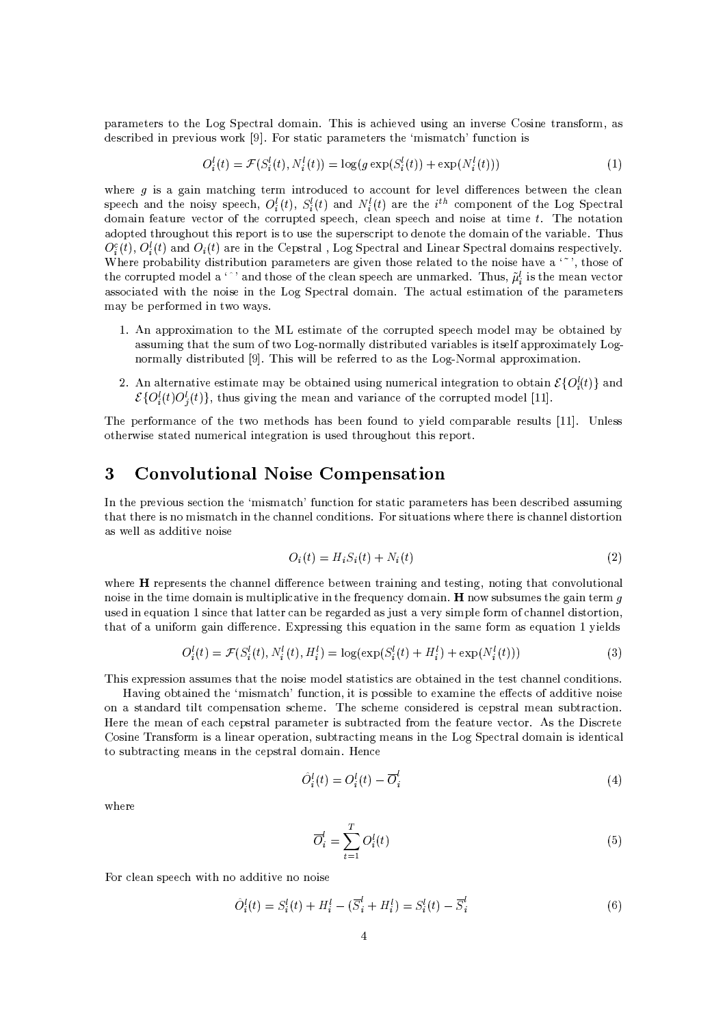parameters to the Log Spectral domain. This is achieved using an inverse Cosine transform, as described in previous work [9]. For static parameters the 'mismatch' function is

$$
O_i^l(t) = \mathcal{F}(S_i^l(t), N_i^l(t)) = \log(g \exp(S_i^l(t)) + \exp(N_i^l(t)))
$$
\n(1)

where  $g$  is a gain matching term introduced to account for level differences between the clean speech and the noisy speech,  $O_i^l(t)$ ,  $S_i^l(t)$  and  $N_i^l(t)$  are the i<sup>th</sup> component of the Log Spectral domain feature vector of the corrupted speech, clean speech and noise at time  $t$ . The notation adopted throughout this report is to use the superscript to denote the domain of the variable. Thus  $O_i^c(t)$ ,  $O_i^l(t)$  and  $O_i(t)$  are in the Cepstral, Log Spectral and Linear Spectral domains respectively. Where probability distribution parameters are given those related to the noise have a  $\cdot$ , those of the corrupted model a '" and those of the clean speech are unmarked. Thus,  $\tilde{\mu}_i^l$  is the mean vector associated with the noise in the Log Spectral domain. The actual estimation of the parameters may be performed in two ways.

- 1. An approximation to the ML estimate of the corrupted speech model may be obtained by assuming that the sum of two Log-normally distributed variables is itself approximately Lognormally distributed [9]. This will be referred to as the Log-Normal approximation.
- 2. An alternative estimate may be obtained using numerical integration to obtain  $\mathcal{E}{O(t)}$  and  $\mathcal{E}\{O_i^l(t)O_i^l(t)\}\$ , thus giving the mean and variance of the corrupted model [11].

The performance of the two methods has been found to vield comparable results [11]. Unless otherwise stated numerical integration is used throughout this report.

## **Convolutional Noise Compensation** 3

In the previous section the 'mismatch' function for static parameters has been described assuming that there is no mismatch in the channel conditions. For situations where there is channel distortion as well as additive noise

$$
O_i(t) = H_i S_i(t) + N_i(t)
$$
\n
$$
(2)
$$

where **H** represents the channel difference between training and testing, noting that convolutional noise in the time domain is multiplicative in the frequency domain. **H** now subsumes the gain term q used in equation 1 since that latter can be regarded as just a very simple form of channel distortion, that of a uniform gain difference. Expressing this equation in the same form as equation 1 yields

$$
O_i^l(t) = \mathcal{F}(S_i^l(t), N_i^l(t), H_i^l) = \log(\exp(S_i^l(t) + H_i^l) + \exp(N_i^l(t)))
$$
\n(3)

This expression assumes that the noise model statistics are obtained in the test channel conditions.

Having obtained the 'mismatch' function, it is possible to examine the effects of additive noise on a standard tilt compensation scheme. The scheme considered is cepstral mean subtraction. Here the mean of each cepstral parameter is subtracted from the feature vector. As the Discrete Cosine Transform is a linear operation, subtracting means in the Log Spectral domain is identical to subtracting means in the cepstral domain. Hence

$$
\hat{O}_i^l(t) = O_i^l(t) - \overline{O}_i^l \tag{4}
$$

where

$$
\overline{O}_i^l = \sum_{t=1}^T O_i^l(t) \tag{5}
$$

For clean speech with no additive no noise

$$
\hat{O}_{i}^{l}(t) = S_{i}^{l}(t) + H_{i}^{l} - (\overline{S}_{i}^{l} + H_{i}^{l}) = S_{i}^{l}(t) - \overline{S}_{i}^{l}
$$
\n(6)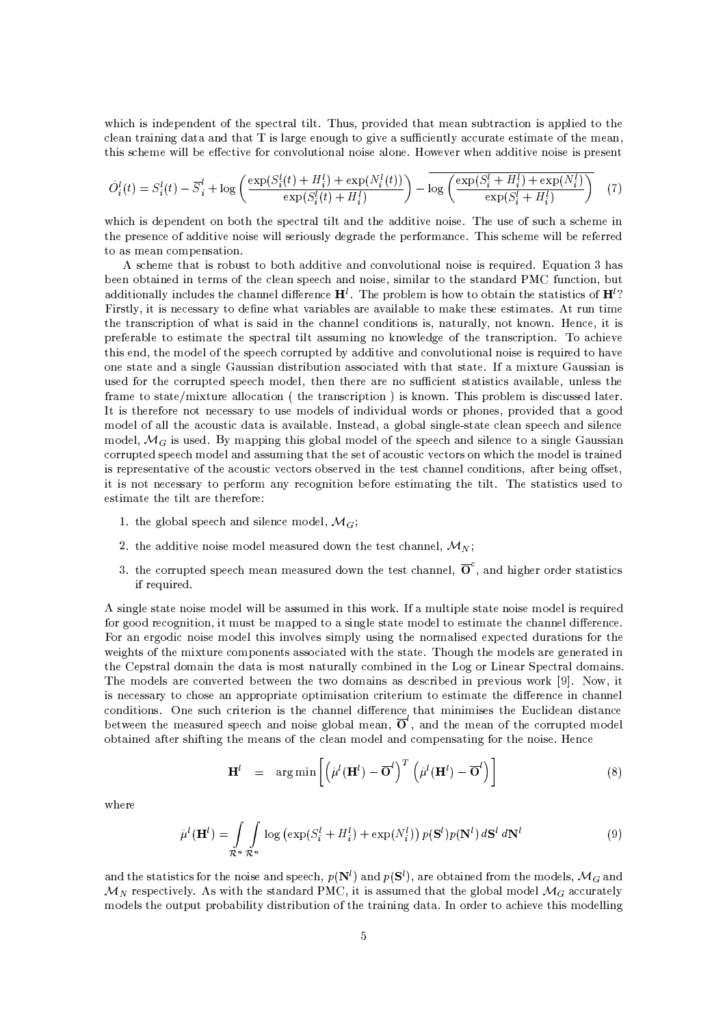which is independent of the spectral tilt. Thus, provided that mean subtraction is applied to the clean training data and that T is large enough to give a sufficiently accurate estimate of the mean, this scheme will be effective for convolutional noise alone. However when additive noise is present

$$
\hat{O}_{i}^{l}(t) = S_{i}^{l}(t) - \overline{S}_{i}^{l} + \log \left( \frac{\exp(S_{i}^{l}(t) + H_{i}^{l}) + \exp(N_{i}^{l}(t))}{\exp(S_{i}^{l}(t) + H_{i}^{l})} \right) - \log \left( \frac{\exp(S_{i}^{l} + H_{i}^{l}) + \exp(N_{i}^{l})}{\exp(S_{i}^{l} + H_{i}^{l})} \right)
$$
(7)

which is dependent on both the spectral tilt and the additive noise. The use of such a scheme in the presence of additive noise will seriously degrade the performance. This scheme will be referred to as mean compensation.

A scheme that is robust to both additive and convolutional noise is required. Equation 3 has been obtained in terms of the clean speech and noise, similar to the standard PMC function, but additionally includes the channel difference  $H^l$ . The problem is how to obtain the statistics of  $H^l$ ? Firstly, it is necessary to define what variables are available to make these estimates. At run time the transcription of what is said in the channel conditions is, naturally, not known. Hence, it is preferable to estimate the spectral tilt assuming no knowledge of the transcription. To achieve this end, the model of the speech corrupted by additive and convolutional noise is required to have one state and a single Gaussian distribution associated with that state. If a mixture Gaussian is used for the corrupted speech model, then there are no sufficient statistics available, unless the frame to state/mixture allocation (the transcription) is known. This problem is discussed later. It is therefore not necessary to use models of individual words or phones, provided that a good model of all the acoustic data is available. Instead, a global single-state clean speech and silence model,  $\mathcal{M}_G$  is used. By mapping this global model of the speech and silence to a single Gaussian corrupted speech model and assuming that the set of acoustic vectors on which the model is trained is representative of the acoustic vectors observed in the test channel conditions, after being offset, it is not necessary to perform any recognition before estimating the tilt. The statistics used to estimate the tilt are therefore:

- 1. the global speech and silence model,  $\mathcal{M}_G$ ;
- 2. the additive noise model measured down the test channel,  $\mathcal{M}_N$ ;
- 3. the corrupted speech mean measured down the test channel,  $\overline{O}^c$ , and higher order statistics if required.

A single state noise model will be assumed in this work. If a multiple state noise model is required for good recognition, it must be mapped to a single state model to estimate the channel difference. For an ergodic noise model this involves simply using the normalised expected durations for the weights of the mixture components associated with the state. Though the models are generated in the Cepstral domain the data is most naturally combined in the Log or Linear Spectral domains. The models are converted between the two domains as described in previous work [9]. Now, it is necessary to chose an appropriate optimisation criterium to estimate the difference in channel conditions. One such criterion is the channel difference that minimises the Euclidean distance between the measured speech and noise global mean,  $\overline{O}^l$ , and the mean of the corrupted model obtained after shifting the means of the clean model and compensating for the noise. Hence

$$
\mathbf{H}^{l} = \arg \min \left[ \left( \hat{\mu}^{l}(\mathbf{H}^{l}) - \overline{\mathbf{O}}^{l} \right)^{T} \left( \hat{\mu}^{l}(\mathbf{H}^{l}) - \overline{\mathbf{O}}^{l} \right) \right]
$$
(8)

where

$$
\hat{\mu}^l(\mathbf{H}^l) = \int_{\mathcal{R}^n} \int_{\mathcal{R}^n} \log \left( \exp(S_i^l + H_i^l) + \exp(N_i^l) \right) p(\mathbf{S}^l) p(\mathbf{N}^l) d\mathbf{S}^l d\mathbf{N}^l \tag{9}
$$

and the statistics for the noise and speech,  $p(\mathbf{N}^l)$  and  $p(\mathbf{S}^l)$ , are obtained from the models,  $\mathcal{M}_G$  and  $\mathcal{M}_N$  respectively. As with the standard PMC, it is assumed that the global model  $\mathcal{M}_G$  accurately models the output probability distribution of the training data. In order to achieve this modelling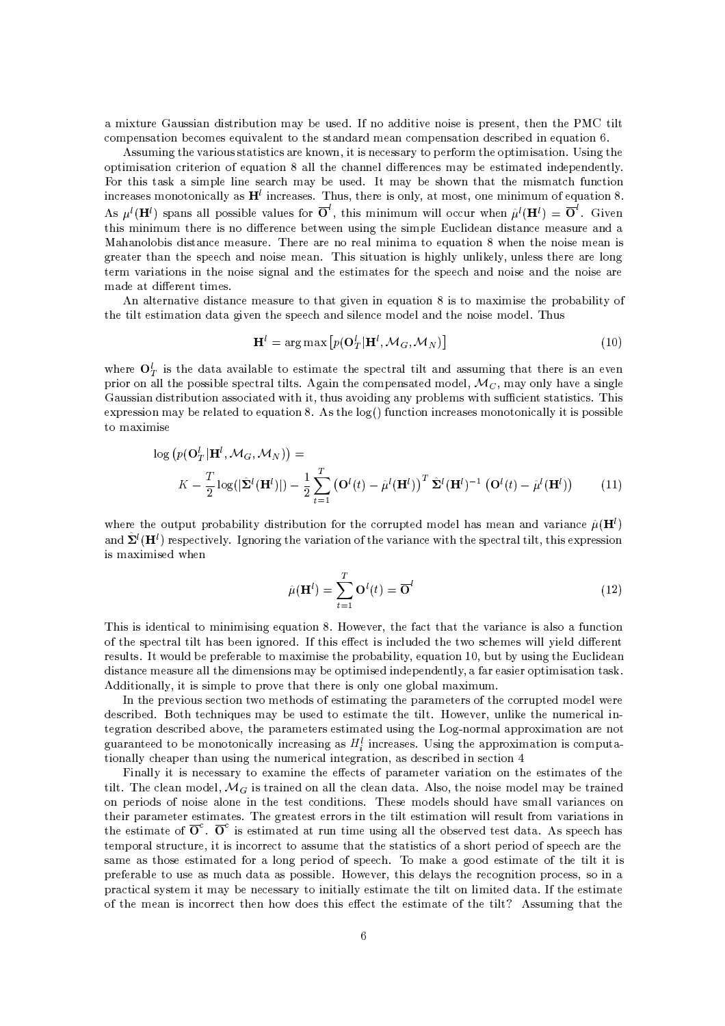a mixture Gaussian distribution may be used. If no additive noise is present, then the PMC tilt compensation becomes equivalent to the standard mean compensation described in equation 6.

Assuming the various statistics are known, it is necessary to perform the optimisation. Using the optimisation criterion of equation 8 all the channel differences may be estimated independently. For this task a simple line search may be used. It may be shown that the mismatch function increases monotonically as  $H<sup>l</sup>$  increases. Thus, there is only, at most, one minimum of equation 8. As  $\mu^l(\mathbf{H}^l)$  spans all possible values for  $\overline{O}^l$ , this minimum will occur when  $\hat{\mu}^l(\mathbf{H}^l) = \overline{O}^l$ . Given this minimum there is no difference between using the simple Euclidean distance measure and a Mahanolobis distance measure. There are no real minima to equation 8 when the noise mean is greater than the speech and noise mean. This situation is highly unlikely, unless there are long term variations in the noise signal and the estimates for the speech and noise and the noise are made at different times.

An alternative distance measure to that given in equation 8 is to maximise the probability of the tilt estimation data given the speech and silence model and the noise model. Thus

$$
\mathbf{H}^{l} = \arg \max \left[ p(\mathbf{O}_{T}^{l} | \mathbf{H}^{l}, \mathcal{M}_{G}, \mathcal{M}_{N}) \right]
$$
(10)

where  $O_T^l$  is the data available to estimate the spectral tilt and assuming that there is an even prior on all the possible spectral tilts. Again the compensated model,  $\mathcal{M}_C$ , may only have a single Gaussian distribution associated with it, thus avoiding any problems with sufficient statistics. This expression may be related to equation 8. As the  $log()$  function increases monotonically it is possible to maximise

$$
\log (p(\mathbf{O}_T^l|\mathbf{H}^l, \mathcal{M}_G, \mathcal{M}_N)) =
$$
  
 
$$
K - \frac{T}{2} \log(|\hat{\mathbf{\Sigma}}^l(\mathbf{H}^l)|) - \frac{1}{2} \sum_{t=1}^T (\mathbf{O}^l(t) - \hat{\boldsymbol{\mu}}^l(\mathbf{H}^l))^T \hat{\mathbf{\Sigma}}^l(\mathbf{H}^l)^{-1} (\mathbf{O}^l(t) - \hat{\boldsymbol{\mu}}^l(\mathbf{H}^l))
$$
 (11)

where the output probability distribution for the corrupted model has mean and variance  $\hat{\mu}(\mathbf{H}^{l})$ and  $\hat{\Sigma}^l(\mathbf{H}^l)$  respectively. Ignoring the variation of the variance with the spectral tilt, this expression is maximised when

$$
\hat{\mu}(\mathbf{H}^l) = \sum_{t=1}^T \mathbf{O}^l(t) = \overline{\mathbf{O}}^l \tag{12}
$$

This is identical to minimising equation 8. However, the fact that the variance is also a function of the spectral tilt has been ignored. If this effect is included the two schemes will yield different results. It would be preferable to maximise the probability, equation 10, but by using the Euclidean distance measure all the dimensions may be optimised independently, a far easier optimisation task. Additionally, it is simple to prove that there is only one global maximum.

In the previous section two methods of estimating the parameters of the corrupted model were described. Both techniques may be used to estimate the tilt. However, unlike the numerical integration described above, the parameters estimated using the Log-normal approximation are not guaranteed to be monotonically increasing as  $H_i^l$  increases. Using the approximation is computationally cheaper than using the numerical integration, as described in section 4

Finally it is necessary to examine the effects of parameter variation on the estimates of the tilt. The clean model,  $\mathcal{M}_G$  is trained on all the clean data. Also, the noise model may be trained on periods of noise alone in the test conditions. These models should have small variances on their parameter estimates. The greatest errors in the tilt estimation will result from variations in the estimate of  $\overline{O}^c$ .  $\overline{O}^c$  is estimated at run time using all the observed test data. As speech has temporal structure, it is incorrect to assume that the statistics of a short period of speech are the same as those estimated for a long period of speech. To make a good estimate of the tilt it is preferable to use as much data as possible. However, this delays the recognition process, so in a practical system it may be necessary to initially estimate the tilt on limited data. If the estimate of the mean is incorrect then how does this effect the estimate of the tilt? Assuming that the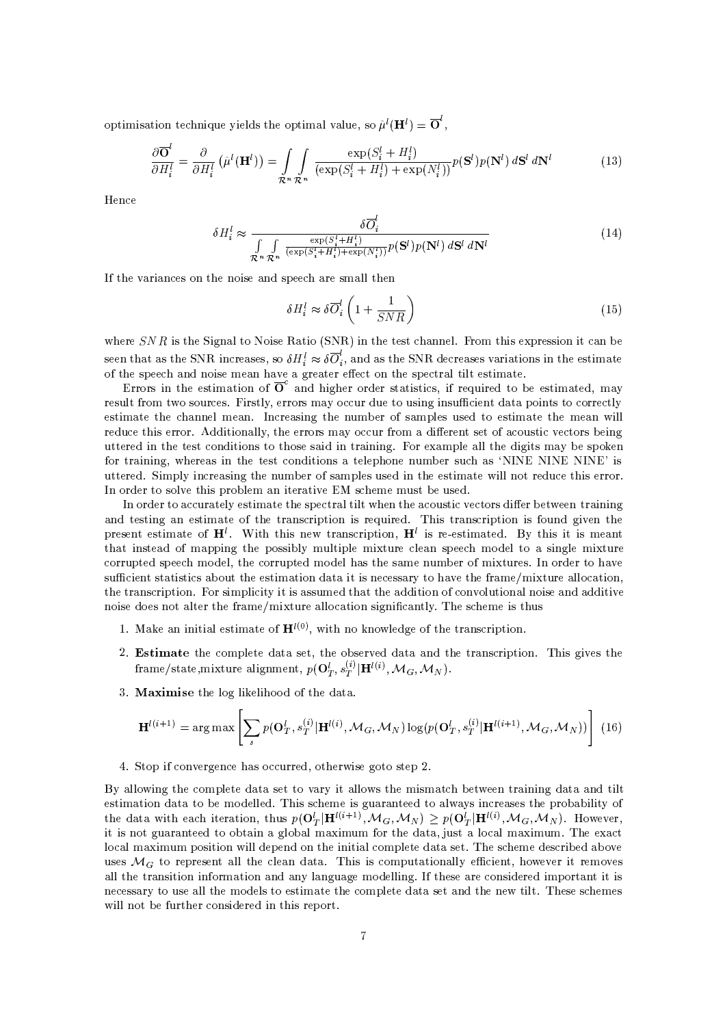optimisation technique yields the optimal value, so  $\hat{\mu}^{l}(\mathbf{H}^{l}) = \overline{\mathbf{O}}^{l}$ ,

$$
\frac{\partial \overline{\mathbf{O}}^l}{\partial H_i^l} = \frac{\partial}{\partial H_i^l} \left( \hat{\mu}^l(\mathbf{H}^l) \right) = \int_{\mathcal{R}^n} \int_{\mathcal{R}^n} \frac{\exp(S_i^l + H_i^l)}{(\exp(S_i^l + H_i^l) + \exp(N_i^l))} p(\mathbf{S}^l) p(\mathbf{N}^l) d\mathbf{S}^l d\mathbf{N}^l \tag{13}
$$

Hence

$$
\delta H_i^l \approx \frac{\delta \overline{O}_i^l}{\int\limits_{\mathcal{R}^n} \int\limits_{\mathcal{R}^n} \frac{\exp(S_i^l + H_i^l)}{(\exp(S_i^l + H_i^l) + \exp(N_i^l))} p(\mathbf{S}^l) p(\mathbf{N}^l) d\mathbf{S}^l d\mathbf{N}^l}
$$
(14)

If the variances on the noise and speech are small then

$$
\delta H_i^l \approx \delta \overline{O}_i^l \left( 1 + \frac{1}{SNR} \right) \tag{15}
$$

where  $SNR$  is the Signal to Noise Ratio (SNR) in the test channel. From this expression it can be seen that as the SNR increases, so  $\delta H_i^l \approx \delta \overline{O}_i^l$ , and as the SNR decreases variations in the estimate of the speech and noise mean have a greater effect on the spectral tilt estimate.

Errors in the estimation of  $\overline{O}^c$  and higher order statistics, if required to be estimated, may result from two sources. Firstly, errors may occur due to using insufficient data points to correctly estimate the channel mean. Increasing the number of samples used to estimate the mean will reduce this error. Additionally, the errors may occur from a different set of acoustic vectors being uttered in the test conditions to those said in training. For example all the digits may be spoken for training, whereas in the test conditions a telephone number such as 'NINE NINE NINE' is uttered. Simply increasing the number of samples used in the estimate will not reduce this error. In order to solve this problem an iterative EM scheme must be used.

In order to accurately estimate the spectral tilt when the acoustic vectors differ between training and testing an estimate of the transcription is required. This transcription is found given the present estimate of  $H^l$ . With this new transcription,  $H^l$  is re-estimated. By this it is meant that instead of mapping the possibly multiple mixture clean speech model to a single mixture corrupted speech model, the corrupted model has the same number of mixtures. In order to have sufficient statistics about the estimation data it is necessary to have the frame/mixture allocation, the transcription. For simplicity it is assumed that the addition of convolutional noise and additive noise does not alter the frame/mixture allocation significantly. The scheme is thus

- 1. Make an initial estimate of  $H^{l(0)}$ , with no knowledge of the transcription.
- 2. Estimate the complete data set, the observed data and the transcription. This gives the frame/state, mixture alignment,  $p(\mathbf{O}_T^l, s_T^{(i)} | \mathbf{H}^{l(i)}, \mathcal{M}_G, \mathcal{M}_N)$ .
- 3. Maximise the log likelihood of the data.

$$
\mathbf{H}^{l(i+1)} = \arg \max \left[ \sum_{s} p(\mathbf{O}_{T}^{l}, s_{T}^{(i)} | \mathbf{H}^{l(i)}, \mathcal{M}_{G}, \mathcal{M}_{N}) \log (p(\mathbf{O}_{T}^{l}, s_{T}^{(i)} | \mathbf{H}^{l(i+1)}, \mathcal{M}_{G}, \mathcal{M}_{N})) \right] (16)
$$

4. Stop if convergence has occurred, otherwise goto step 2.

By allowing the complete data set to vary it allows the mismatch between training data and tilt estimation data to be modelled. This scheme is guaranteed to always increases the probability of the data with each iteration, thus  $p(\mathbf{O}_T^l|\mathbf{H}^{l(i+1)},\mathcal{M}_G,\mathcal{M}_N) \geq p(\mathbf{O}_T^l|\mathbf{H}^{l(i)},\mathcal{M}_G,\mathcal{M}_N)$ . However, it is not guaranteed to obtain a global maximum for the data, just a local maximum. The exact local maximum position will depend on the initial complete data set. The scheme described above uses  $\mathcal{M}_G$  to represent all the clean data. This is computationally efficient, however it removes all the transition information and any language modelling. If these are considered important it is necessary to use all the models to estimate the complete data set and the new tilt. These schemes will not be further considered in this report.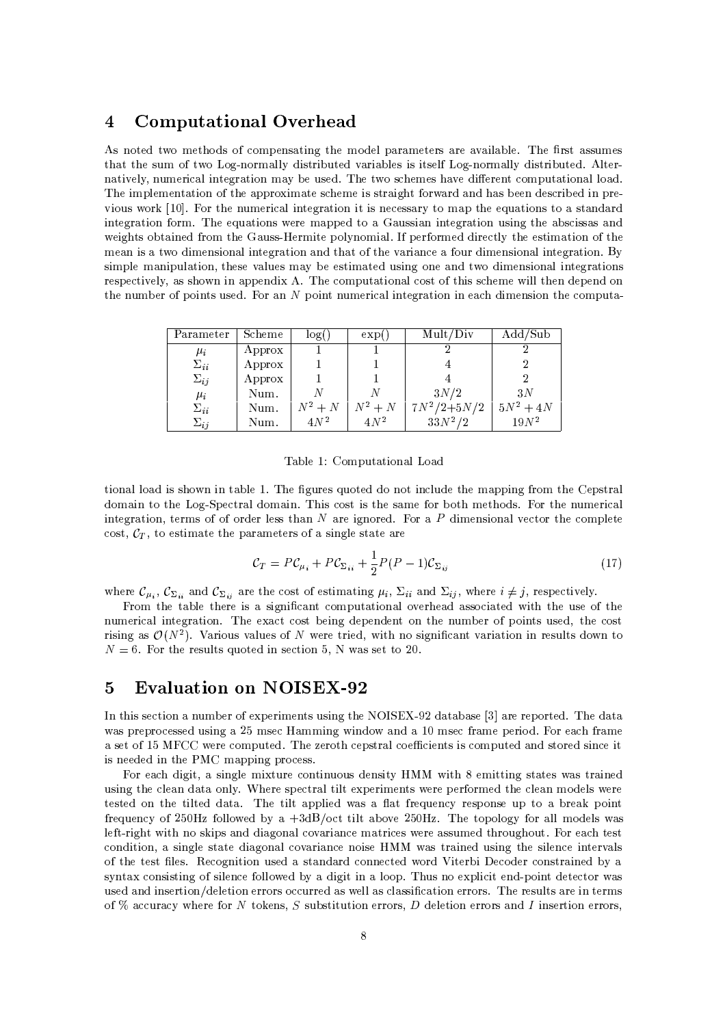### **Computational Overhead**  $\overline{4}$

As noted two methods of compensating the model parameters are available. The first assumes that the sum of two Log-normally distributed variables is itself Log-normally distributed. Alternatively, numerical integration may be used. The two schemes have different computational load. The implementation of the approximate scheme is straight forward and has been described in previous work [10]. For the numerical integration it is necessary to map the equations to a standard integration form. The equations were mapped to a Gaussian integration using the abscissas and weights obtained from the Gauss-Hermite polynomial. If performed directly the estimation of the mean is a two dimensional integration and that of the variance a four dimensional integration. By simple manipulation, these values may be estimated using one and two dimensional integrations respectively, as shown in appendix A. The computational cost of this scheme will then depend on the number of points used. For an N point numerical integration in each dimension the computa-

| Parameter     | Scheme | log(1)  | exp(            | Mult/Div        | $\text{Add}/\text{Sub}$ |
|---------------|--------|---------|-----------------|-----------------|-------------------------|
| $\mu_i$       | Approx |         |                 |                 |                         |
| $\Sigma_{ii}$ | Approx |         |                 |                 |                         |
| $\Sigma_{ij}$ | Approx |         |                 |                 |                         |
| $\mu_i$       | Num.   |         |                 | 3N/2            | 3N                      |
| $\Sigma_{ii}$ | Num.   | $N^2+N$ | $N^2+N$         | $7N^2/2 + 5N/2$ | $5N^2 + 4N$             |
| $\Sigma_{ij}$ | Num.   | $4N^2$  | 4N <sup>2</sup> | $33N^2/2$       | $19N^2$                 |

Table 1: Computational Load

tional load is shown in table 1. The figures quoted do not include the mapping from the Cepstral domain to the Log-Spectral domain. This cost is the same for both methods. For the numerical integration, terms of of order less than  $N$  are ignored. For a  $P$  dimensional vector the complete cost,  $C_T$ , to estimate the parameters of a single state are

$$
\mathcal{C}_T = P \mathcal{C}_{\mu_i} + P \mathcal{C}_{\Sigma_{ii}} + \frac{1}{2} P (P - 1) \mathcal{C}_{\Sigma_{ij}} \tag{17}
$$

where  $\mathcal{C}_{\mu_i}$ ,  $\mathcal{C}_{\Sigma_{ii}}$  and  $\mathcal{C}_{\Sigma_{ii}}$  are the cost of estimating  $\mu_i$ ,  $\Sigma_{ii}$  and  $\Sigma_{ij}$ , where  $i \neq j$ , respectively.

From the table there is a significant computational overhead associated with the use of the numerical integration. The exact cost being dependent on the number of points used, the cost rising as  $\mathcal{O}(N^2)$ . Various values of N were tried, with no significant variation in results down to  $N = 6$ . For the results quoted in section 5, N was set to 20.

### **Evaluation on NOISEX-92**  $\bf{5}$

In this section a number of experiments using the NOISEX-92 database [3] are reported. The data was preprocessed using a 25 msec Hamming window and a 10 msec frame period. For each frame a set of 15 MFCC were computed. The zeroth cepstral coefficients is computed and stored since it is needed in the PMC mapping process

For each digit, a single mixture continuous density HMM with 8 emitting states was trained using the clean data only. Where spectral tilt experiments were performed the clean models were tested on the tilted data. The tilt applied was a flat frequency response up to a break point frequency of 250Hz followed by a +3dB/oct tilt above 250Hz. The topology for all models was left-right with no skips and diagonal covariance matrices were assumed throughout. For each test condition, a single state diagonal covariance noise HMM was trained using the silence intervals of the test files. Recognition used a standard connected word Viterbi Decoder constrained by a syntax consisting of silence followed by a digit in a loop. Thus no explicit end-point detector was used and insertion/deletion errors occurred as well as classification errors. The results are in terms of % accuracy where for N tokens, S substitution errors, D deletion errors and I insertion errors,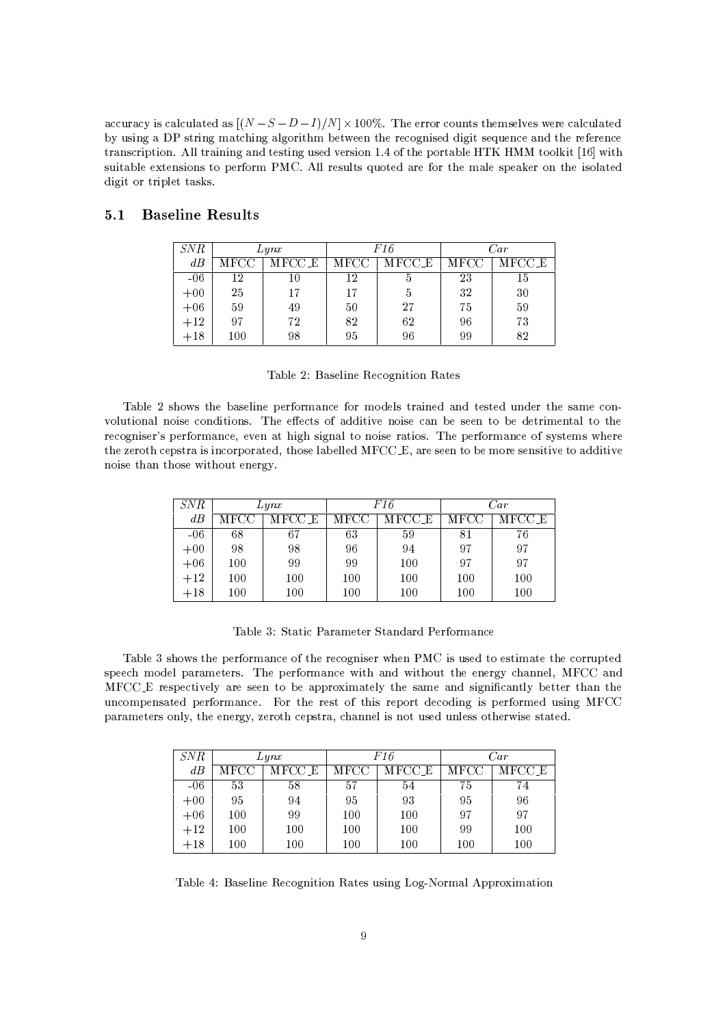accuracy is calculated as  $[(N-S-D-I)/N] \times 100\%$ . The error counts themselves were calculated by using a DP string matching algorithm between the recognised digit sequence and the reference transcription. All training and testing used version 1.4 of the portable HTK HMM toolkit [16] with suitable extensions to perform PMC. All results quoted are for the male speaker on the isolated digit or triplet tasks.

#### $5.1$ **Baseline Results**

| SNR   | Lynx                  |    |      | F16                         | $\it Car$ |        |  |
|-------|-----------------------|----|------|-----------------------------|-----------|--------|--|
| dB    | MFCC_E<br><b>MFCC</b> |    | MFCC | $\overline{\text{MFCC\_E}}$ | MFCC      | MFCC E |  |
| $-06$ | 12                    | 10 | 12   | þ                           | 23        | 15     |  |
| $+00$ | 25<br>17              |    | 17   | 'n                          | 32        | 30     |  |
| $+06$ | 59                    | 49 | 50   | 27                          | 75        | 59     |  |
| $+12$ | 97                    | 72 | 82   | 62                          | 96        | 73     |  |
| $+18$ | 98<br>100             |    | 95   | 96                          | 99        | 82     |  |

Table 2: Baseline Recognition Rates

Table 2 shows the baseline performance for models trained and tested under the same convolutional noise conditions. The effects of additive noise can be seen to be detrimental to the recogniser's performance, even at high signal to noise ratios. The performance of systems where the zeroth cepstra is incorporated, those labelled MFCC.E, are seen to be more sensitive to additive noise than those without energy.

| SNR   | Lynx                  |     |      | F16    |      | Car    |
|-------|-----------------------|-----|------|--------|------|--------|
| dB    | <b>MFCC</b><br>MFCC E |     | MFCC | MFCC E | MFCC | MFCC E |
| $-06$ | 68                    | 67  | 63   | 59     | 81   | 76     |
| $+00$ | 98<br>98              |     | 96   | 94     | 97   | 97     |
| $+06$ | 100                   | 99  | 99   | 100    | 97   | 97     |
| $+12$ | 100                   | 100 | 100  | 100    | 100  | 100    |
| $+18$ | 100<br>100            |     | 100  | 100    | 100  | 100    |

Table 3: Static Parameter Standard Performance

Table 3 shows the performance of the recogniser when PMC is used to estimate the corrupted speech model parameters. The performance with and without the energy channel, MFCC and MFCC\_E respectively are seen to be approximately the same and significantly better than the uncompensated performance. For the rest of this report decoding is performed using MFCC parameters only, the energy, zeroth cepstra, channel is not used unless otherwise stated.

| <i>SNR</i> |                | Lynx |                | F16 | Car            |        |  |
|------------|----------------|------|----------------|-----|----------------|--------|--|
| dB         | MFCC E<br>MFCC |      | MFCC E<br>MFCC |     | $_{\rm{MFCC}}$ | MFCC E |  |
| $-06$      | 53<br>58       |      | 57             | 54  | 75             | 74     |  |
| $+00$      | 94<br>95       |      | 95             | 93  | 95             | 96     |  |
| $+06$      | 99<br>100      |      | 100            | 100 | 97             | 97     |  |
| $+12$      | 100            | 100  | 100            | 100 | 99             | 100    |  |
| $+18$      | 100<br>100     |      | 100            | 100 | 100            | 100    |  |

Table 4: Baseline Recognition Rates using Log-Normal Approximation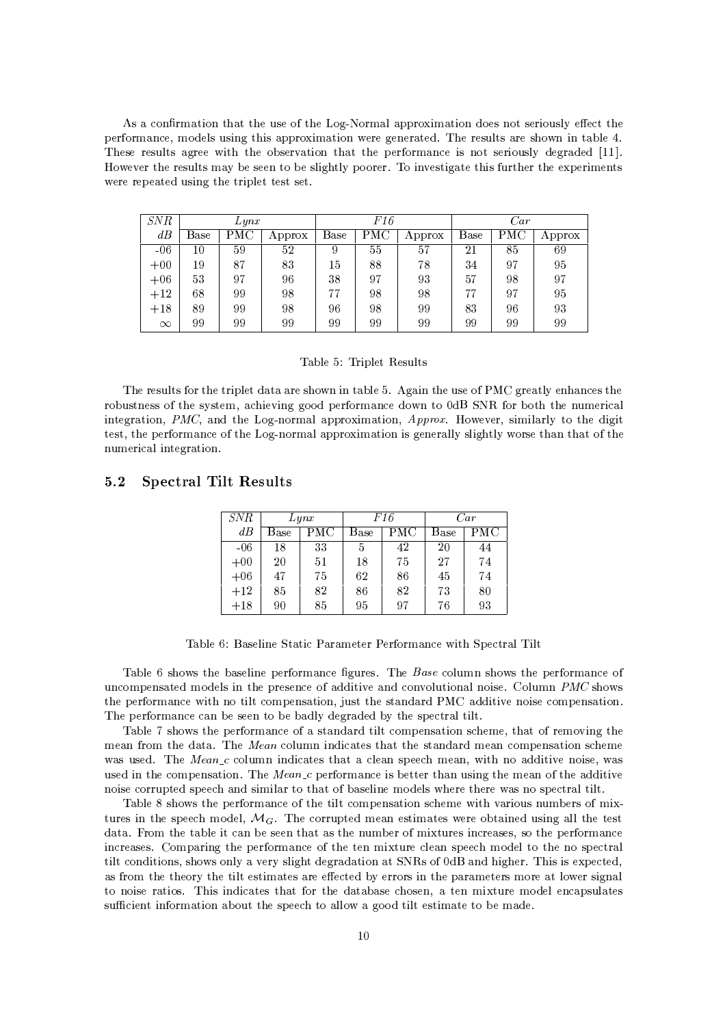As a confirmation that the use of the Log-Normal approximation does not seriously effect the performance, models using this approximation were generated. The results are shown in table 4. These results agree with the observation that the performance is not seriously degraded [11]. However the results may be seen to be slightly poorer. To investigate this further the experiments were repeated using the triplet test set.

| SNR      |      | Lynx |         |      | F16 |        | $\it{Car}$ |            |        |  |
|----------|------|------|---------|------|-----|--------|------------|------------|--------|--|
| dB       | Base | PMC  | Approx  | Base | PMC | Approx | Base       | <b>PMC</b> | Approx |  |
| $-06$    | 10   | 59   | 52      | 9    | 55  | 57     | 21         | 85         | 69     |  |
| $+00$    | 19   | 87   | $^{83}$ | 15   | 88  | 78     | 34         | 97         | 95     |  |
| $+06$    | 53   | 97   | 96      | 38   | 97  | 93     | 57         | 98         | 97     |  |
| $+12$    | 68   | 99   | 98      | 77   | 98  | 98     | 77         | 97         | 95     |  |
| $+18$    | 89   | 99   | 98      | 96   | 98  | 99     | 83         | 96         | 93     |  |
| $\infty$ | 99   | 99   | 99      | 99   | 99  | 99     | 99         | 99         | 99     |  |

## Table 5: Triplet Results

The results for the triplet data are shown in table 5. Again the use of PMC greatly enhances the robustness of the system, achieving good performance down to 0dB SNR for both the numerical integration, PMC, and the Log-normal approximation, Approx. However, similarly to the digit test, the performance of the Log-normal approximation is generally slightly worse than that of the numerical integration.

#### **Spectral Tilt Results**  $5.2$

| <i>SNR</i> | L y n x      |  |             | F16 | Car  |     |  |
|------------|--------------|--|-------------|-----|------|-----|--|
| dB         | PMC<br>Base  |  | PMC<br>Base |     | Base | PMC |  |
| -06        | 33<br>18     |  | 5           | 42  | 20   | 44  |  |
| $+00$      | $51\,$<br>20 |  | 18          | 75  | 27   | 74  |  |
| $+06$      | 47<br>75     |  | 62          | 86  | 45   | 74  |  |
| $+12$      | 82<br>85     |  | 86          | 82  | 73   | 80  |  |
| $+18$      | 85<br>90     |  | 95          | 97  | 76   | 93  |  |

Table 6: Baseline Static Parameter Performance with Spectral Tilt

Table 6 shows the baseline performance figures. The Base column shows the performance of uncompensated models in the presence of additive and convolutional noise. Column PMC shows the performance with no tilt compensation, just the standard PMC additive noise compensation. The performance can be seen to be badly degraded by the spectral tilt.

Table 7 shows the performance of a standard tilt compensation scheme, that of removing the mean from the data. The *Mean* column indicates that the standard mean compensation scheme was used. The  $Mean_c$  column indicates that a clean speech mean, with no additive noise, was used in the compensation. The Mean  $c$  performance is better than using the mean of the additive noise corrupted speech and similar to that of baseline models where there was no spectral tilt.

Table 8 shows the performance of the tilt compensation scheme with various numbers of mixtures in the speech model,  $\mathcal{M}_G$ . The corrupted mean estimates were obtained using all the test data. From the table it can be seen that as the number of mixtures increases, so the performance increases. Comparing the performance of the ten mixture clean speech model to the no spectral tilt conditions, shows only a very slight degradation at SNRs of 0dB and higher. This is expected, as from the theory the tilt estimates are effected by errors in the parameters more at lower signal to noise ratios. This indicates that for the database chosen, a ten mixture model encapsulates sufficient information about the speech to allow a good tilt estimate to be made.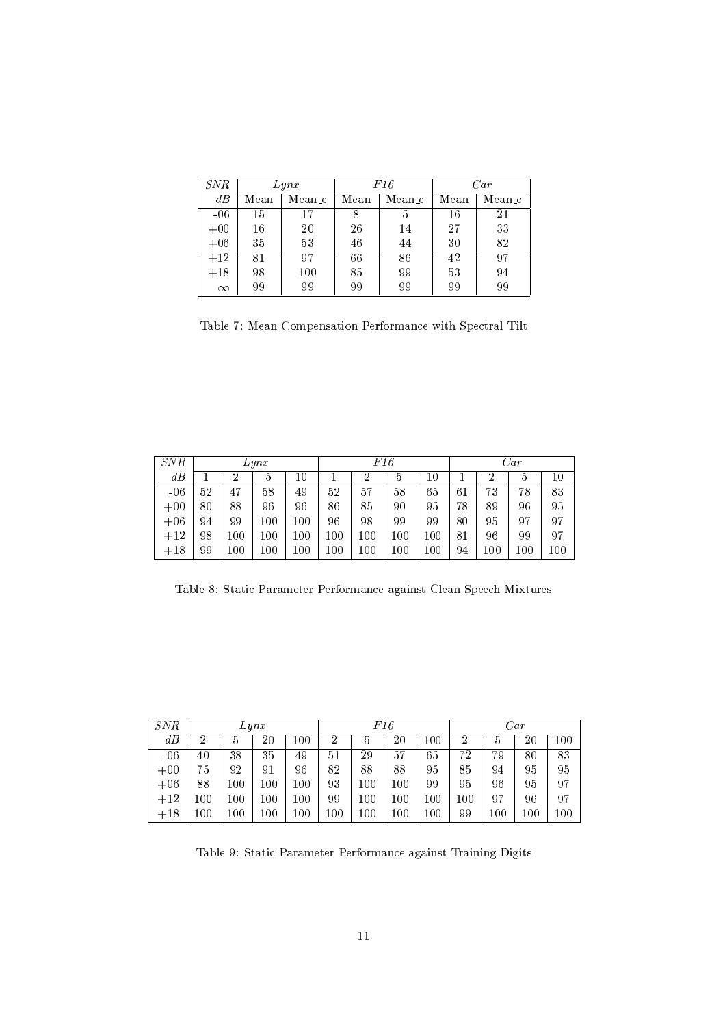| SNR      | Lynx |        |    | F16    | Car  |        |  |
|----------|------|--------|----|--------|------|--------|--|
| dB       | Mean | Mean_c |    | Mean_c | Mean | Mean_c |  |
| $-06$    | 15   | 17     | 8  | 5      | 16   | $21\,$ |  |
| $+00$    | 16   | 20     | 26 | 14     | 27   | 33     |  |
| $+06$    | 35   | 53     | 46 | 44     | 30   | 82     |  |
| $+12$    | 81   | 97     | 66 | 86     | 42   | 97     |  |
| $+18$    | 98   | 100    | 85 | 99     | 53   | 94     |  |
| $\infty$ | 99   | 99     | 99 | 99     | 99   | 99     |  |

Table 7: Mean Compensation Performance with Spectral Tilt

| SNR   |         |         | Lynx    |          |          |     | F16 |     |    | Car |         |     |  |
|-------|---------|---------|---------|----------|----------|-----|-----|-----|----|-----|---------|-----|--|
| dB    |         | 2       | b       | 10       |          | 2   | 5   | 10  |    | 2   | G       | 10  |  |
| $-06$ | 52      | 47      | 58      | 49       | 52       | 57  | 58  | 65  | 61 | 73  | 78      | 83  |  |
| $+00$ | $_{80}$ | 88      | 96      | 96       | 86       | 85  | 90  | 95  | 78 | 89  | 96      | 95  |  |
| $+06$ | 94      | 99      | $100\,$ | $100\,$  | 96       | 98  | 99  | 99  | 80 | 95  | 97      | 97  |  |
| $+12$ | 98      | $_{00}$ | 100     | $_{100}$ | $_{100}$ | 100 | 100 | 100 | 81 | 96  | 99      | 97  |  |
| $+18$ | 99      | $_{00}$ | $100\,$ | 100      | $_{100}$ | 100 | 100 | 100 | 94 | 100 | $100\,$ | 100 |  |

Table 8: Static Parameter Performance against Clean Speech Mixtures

| <i>SNR</i> |                |          | Lynx     |               | F16      |     |          |         | Car |     |     |     |
|------------|----------------|----------|----------|---------------|----------|-----|----------|---------|-----|-----|-----|-----|
| dB         | $\overline{2}$ | 5        | 20       | .00           | 2        | b   | $20\,$   | $100\,$ | 2   | 5   | 20  | 100 |
| $-06$      | 40             | 38       | 35       | 49            | 51       | 29  | 57       | 65      | 72  | 79  | 80  | 83  |
| $+00$      | 75             | 92       | 91       | 96            | 82       | 88  | 88       | 95      | 85  | 94  | 95  | 95  |
| $+06$      | 88             | 100      | $100\,$  | .00           | 93       | 100 | $_{100}$ | 99      | 95  | 96  | 95  | 97  |
| $+12$      | 100            | $_{100}$ | $100\,$  | $100^{\circ}$ | 99       | 100 | $100\,$  | $100\,$ | 100 | 97  | 96  | 97  |
| $+18$      | 100            | 100      | $_{100}$ | .00           | $_{100}$ | 100 | 100      | 100     | 99  | 100 | 100 | 100 |

Table 9: Static Parameter Performance against Training Digits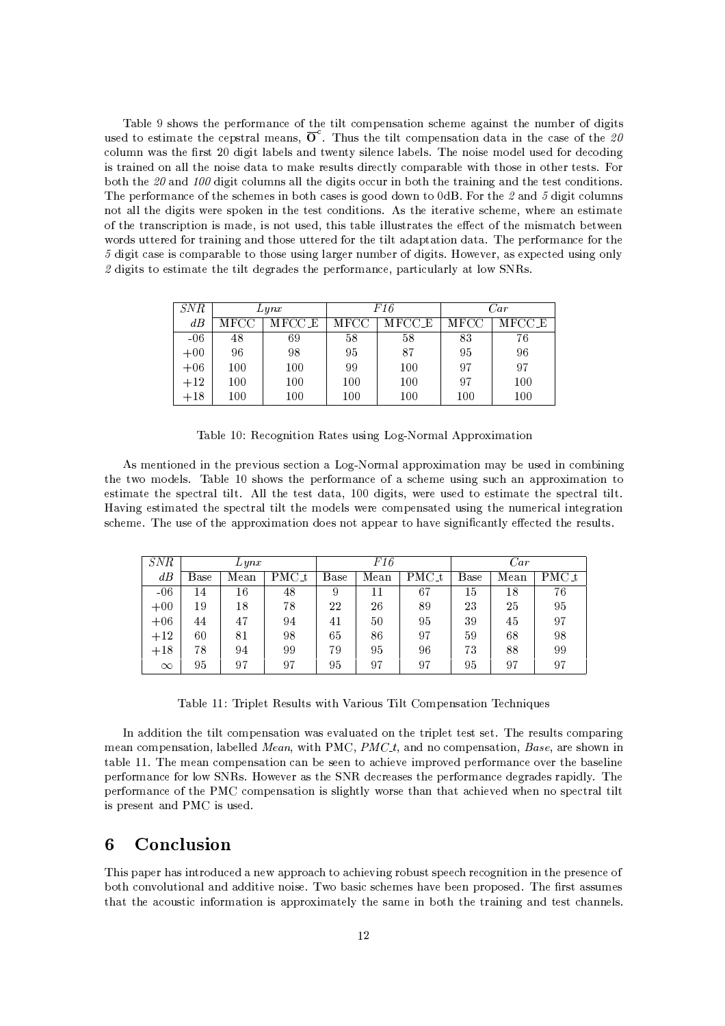Table 9 shows the performance of the tilt compensation scheme against the number of digits used to estimate the cepstral means,  $\overline{O}^c$ . Thus the tilt compensation data in the case of the 20 column was the first 20 digit labels and twenty silence labels. The noise model used for decoding is trained on all the noise data to make results directly comparable with those in other tests. For both the 20 and 100 digit columns all the digits occur in both the training and the test conditions. The performance of the schemes in both cases is good down to  $0dB$ . For the 2 and 5 digit columns not all the digits were spoken in the test conditions. As the iterative scheme, where an estimate of the transcription is made, is not used, this table illustrates the effect of the mismatch between words uttered for training and those uttered for the tilt adaptation data. The performance for the 5 digit case is comparable to those using larger number of digits. However, as expected using only 2 digits to estimate the tilt degrades the performance, particularly at low SNRs.

|       | Lynx           |     |                |     | Car  |        |  |
|-------|----------------|-----|----------------|-----|------|--------|--|
| dB    | MFCC E<br>MFCC |     | MFCC E<br>MFCC |     | MFCC | MFCC E |  |
| $-06$ | 48             | 69  | 58             | 58  | 83   | 76     |  |
| $+00$ | 96             | 98  | 95             | 87  | 95   | 96     |  |
| $+06$ | 100            | 100 | 99             | 100 | 97   | 97     |  |
| $+12$ | 100            | 100 | 100            | 100 | 97   | 100    |  |
| $+18$ | 100            | 100 | 100            | 100 | 100  | 100    |  |
|       | SNR            |     |                |     | F16  |        |  |

Table 10: Recognition Rates using Log-Normal Approximation

As mentioned in the previous section a Log-Normal approximation may be used in combining the two models. Table 10 shows the performance of a scheme using such an approximation to estimate the spectral tilt. All the test data, 100 digits, were used to estimate the spectral tilt. Having estimated the spectral tilt the models were compensated using the numerical integration scheme. The use of the approximation does not appear to have significantly effected the results.

| SNR      |             | $L$ yn $x$ |       |             | F16  |         | Car  |      |       |  |
|----------|-------------|------------|-------|-------------|------|---------|------|------|-------|--|
| dB       | <b>Base</b> | Mean       | PMC_t | <b>Base</b> | Mean | $PMC$ t | Base | Mean | PMC t |  |
| $-06$    | 14          | 16         | 48    | 9           | 11   | 67      | 15   | 18   | 76    |  |
| $+00$    | 19          | 18         | 78    | 22          | 26   | 89      | 23   | 25   | 95    |  |
| $+06$    | 44          | 47         | 94    | 41          | 50   | 95      | 39   | 45   | 97    |  |
| $+12$    | 60          | 81         | 98    | 65          | 86   | 97      | 59   | 68   | 98    |  |
| $+18$    | 78          | 94         | 99    | 79          | 95   | 96      | 73   | 88   | 99    |  |
| $\infty$ | 95          | 97         | 97    | 95          | 97   | 97      | 95   | 97   | 97    |  |

Table 11: Triplet Results with Various Tilt Compensation Techniques

In addition the tilt compensation was evaluated on the triplet test set. The results comparing mean compensation, labelled Mean, with PMC, PMC<sub>t</sub>, and no compensation, Base, are shown in table 11. The mean compensation can be seen to achieve improved performance over the baseline performance for low SNRs. However as the SNR decreases the performance degrades rapidly. The performance of the PMC compensation is slightly worse than that achieved when no spectral tilt is present and PMC is used.

### Conclusion 6

This paper has introduced a new approach to achieving robust speech recognition in the presence of both convolutional and additive noise. Two basic schemes have been proposed. The first assumes that the acoustic information is approximately the same in both the training and test channels.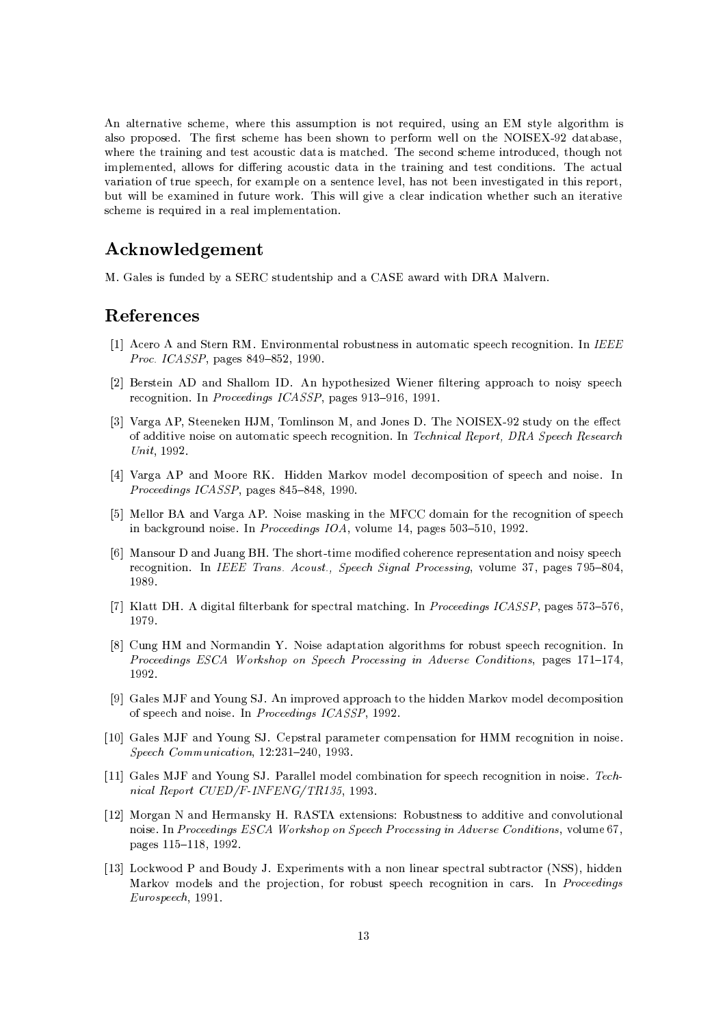An alternative scheme, where this assumption is not required, using an EM style algorithm is also proposed. The first scheme has been shown to perform well on the NOISEX-92 database, where the training and test acoustic data is matched. The second scheme introduced, though not implemented, allows for differing acoustic data in the training and test conditions. The actual variation of true speech, for example on a sentence level, has not been investigated in this report. but will be examined in future work. This will give a clear indication whether such an iterative scheme is required in a real implementation.

# Acknowledgement

M. Gales is funded by a SERC studentship and a CASE award with DRA Malvern.

## References

- [1] Acero A and Stern RM. Environmental robustness in automatic speech recognition. In IEEE Proc. ICASSP, pages 849-852, 1990.
- [2] Berstein AD and Shallom ID. An hypothesized Wiener filtering approach to noisy speech recognition. In Proceedings ICASSP, pages 913-916, 1991.
- [3] Varga AP, Steeneken HJM, Tomlinson M, and Jones D. The NOISEX-92 study on the effect of additive noise on automatic speech recognition. In Technical Report, DRA Speech Research Unit. 1992.
- [4] Varga AP and Moore RK. Hidden Markov model decomposition of speech and noise. In Proceedings ICASSP, pages 845-848, 1990.
- [5] Mellor BA and Varga AP. Noise masking in the MFCC domain for the recognition of speech in background noise. In Proceedings IOA, volume 14, pages 503-510, 1992.
- [6] Mansour D and Juang BH. The short-time modified coherence representation and noisy speech recognition. In IEEE Trans. Acoust., Speech Signal Processing, volume 37, pages 795-804, 1989.
- [7] Klatt DH. A digital filterbank for spectral matching. In Proceedings ICASSP, pages 573-576, 1979.
- [8] Cung HM and Normandin Y. Noise adaptation algorithms for robust speech recognition. In Proceedings ESCA Workshop on Speech Processing in Adverse Conditions, pages 171-174, 1992.
- [9] Gales MJF and Young SJ. An improved approach to the hidden Markov model decomposition of speech and noise. In Proceedings ICASSP, 1992.
- [10] Gales MJF and Young SJ. Cepstral parameter compensation for HMM recognition in noise. Speech Communication, 12:231-240, 1993.
- [11] Gales MJF and Young SJ. Parallel model combination for speech recognition in noise. Technical Report CUED/F-INFENG/TR135, 1993.
- [12] Morgan N and Hermansky H. RASTA extensions: Robustness to additive and convolutional noise. In Proceedings ESCA Workshop on Speech Processing in Adverse Conditions, volume 67, pages 115-118, 1992.
- [13] Lockwood P and Boudy J. Experiments with a non linear spectral subtractor (NSS), hidden Markov models and the projection, for robust speech recognition in cars. In Proceedings Eurospeech, 1991.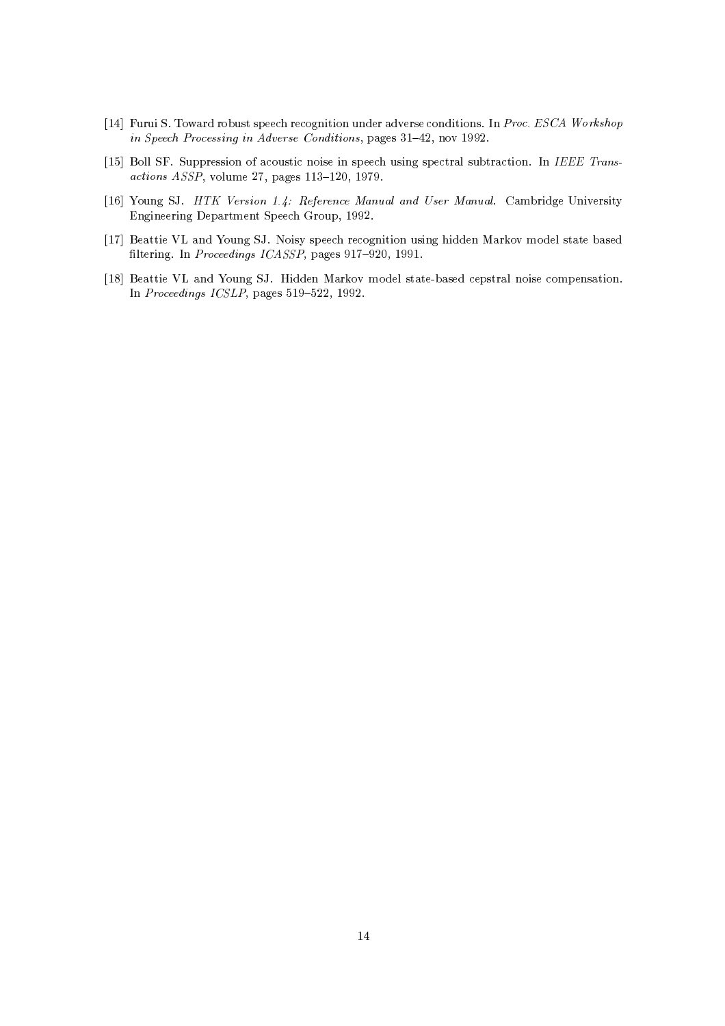- [14] Furui S. Toward robust speech recognition under adverse conditions. In *Proc. ESCA Workshop* in Speech Processing in Adverse Conditions, pages  $31-42$ , nov 1992.
- [15] Boll SF. Suppression of acoustic noise in speech using spectral subtraction. In *IEEE Trans*- $\mathcal{L} = \mathcal{L} = \mathcal{L} = \mathcal{L} = \mathcal{L} = \mathcal{L} = \mathcal{L} = \mathcal{L} = \mathcal{L} = \mathcal{L} = \mathcal{L} = \mathcal{L} = \mathcal{L} = \mathcal{L} = \mathcal{L} = \mathcal{L} = \mathcal{L} = \mathcal{L} = \mathcal{L} = \mathcal{L} = \mathcal{L} = \mathcal{L} = \mathcal{L} = \mathcal{L} = \mathcal{L} = \mathcal{L} = \mathcal{L} = \mathcal{L} = \mathcal{L} = \mathcal{L} = \mathcal{L} = \mathcal$
- [16] Young SJ. *HTK Version 1.4: Reference Manual and User Manual.* Cambridge University Engineering Department Speech Group, 1992.
- [17] Beattie VL and Young SJ. Noisy speech recognition using hidden Markov model state based filtering. In *Proceedings ICASSP* pages 917–920, 1991.  $\,$
- [18] Beattie VL and Young SJ. Hidden Markov model state-based cepstral noise compensation. J; %@ /
(+\*. G,G %c(x\*\* <sup>G</sup>   #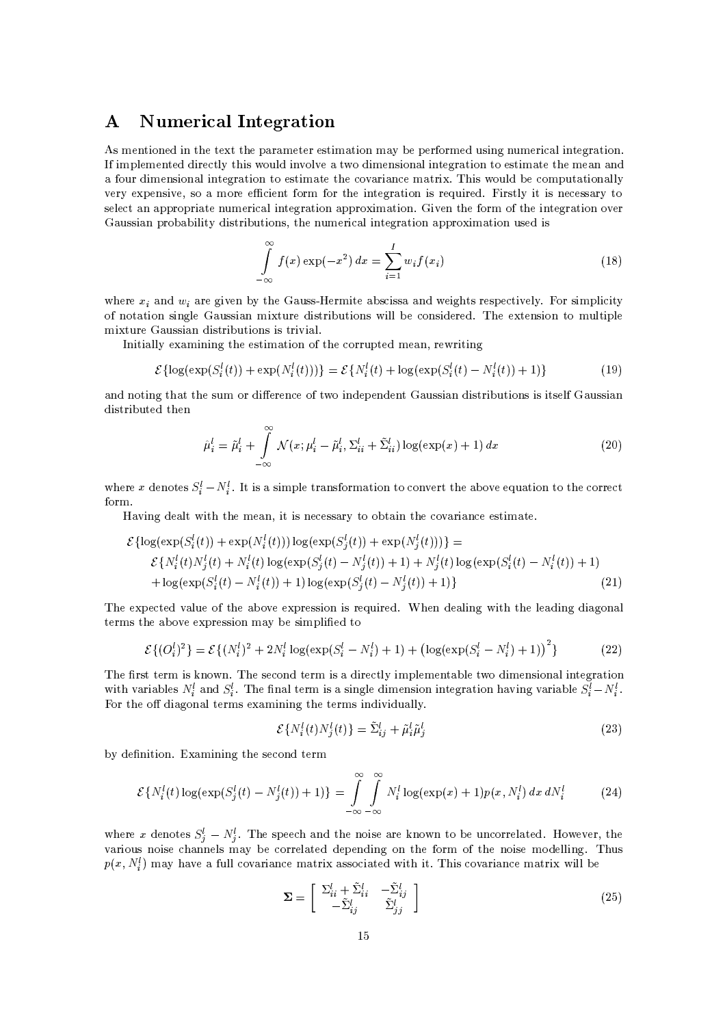## **Numerical Integration**  $\mathbf{A}$

As mentioned in the text the parameter estimation may be performed using numerical integration. If implemented directly this would involve a two dimensional integration to estimate the mean and a four dimensional integration to estimate the covariance matrix. This would be computationally very expensive, so a more efficient form for the integration is required. Firstly it is necessary to select an appropriate numerical integration approximation. Given the form of the integration over Gaussian probability distributions, the numerical integration approximation used is

$$
\int_{-\infty}^{\infty} f(x) \exp(-x^2) dx = \sum_{i=1}^{I} w_i f(x_i)
$$
\n(18)

where  $x_i$  and  $w_i$  are given by the Gauss-Hermite abscissa and weights respectively. For simplicity of notation single Gaussian mixture distributions will be considered. The extension to multiple mixture Gaussian distributions is trivial.

Initially examining the estimation of the corrupted mean, rewriting

$$
\mathcal{E}\{\log(\exp(S_i^l(t)) + \exp(N_i^l(t)))\} = \mathcal{E}\{N_i^l(t) + \log(\exp(S_i^l(t) - N_i^l(t)) + 1)\}\
$$
\n(19)

and noting that the sum or difference of two independent Gaussian distributions is itself Gaussian distributed then

$$
\hat{\mu}_i^l = \tilde{\mu}_i^l + \int_{-\infty}^{\infty} \mathcal{N}(x; \mu_i^l - \tilde{\mu}_i^l, \Sigma_{ii}^l + \tilde{\Sigma}_{ii}^l) \log(\exp(x) + 1) dx \tag{20}
$$

where x denotes  $S_i^l - N_i^l$ . It is a simple transformation to convert the above equation to the correct form.

Having dealt with the mean, it is necessary to obtain the covariance estimate.

$$
\mathcal{E}\{\log(\exp(S_i^l(t)) + \exp(N_i^l(t)))\log(\exp(S_j^l(t)) + \exp(N_j^l(t)))\} =
$$
\n
$$
\mathcal{E}\{N_i^l(t)N_j^l(t) + N_i^l(t)\log(\exp(S_j^l(t) - N_j^l(t)) + 1) + N_j^l(t)\log(\exp(S_i^l(t) - N_i^l(t)) + 1) + N_j^l(t)\log(\exp(S_i^l(t) - N_i^l(t)) + 1)\} \tag{21}
$$

The expected value of the above expression is required. When dealing with the leading diagonal terms the above expression may be simplified to

$$
\mathcal{E}\{(O_i^l)^2\} = \mathcal{E}\{(N_i^l)^2 + 2N_i^l \log(\exp(S_i^l - N_i^l) + 1) + (\log(\exp(S_i^l - N_i^l) + 1))^2\}
$$
(22)

The first term is known. The second term is a directly implementable two dimensional integration with variables  $N_i^l$  and  $S_i^l$ . The final term is a single dimension integration having variable  $S_i^l - N_i^l$ . For the off diagonal terms examining the terms individually.

$$
\mathcal{E}\{N_i^l(t)N_j^l(t)\} = \tilde{\Sigma}_{ij}^l + \tilde{\mu}_i^l \tilde{\mu}_j^l \tag{23}
$$

by definition. Examining the second term

$$
\mathcal{E}\{N_i^l(t)\log(\exp(S_j^l(t)-N_j^l(t))+1)\}=\int\limits_{-\infty}^{\infty}\int\limits_{-\infty}^{\infty}N_i^l\log(\exp(x)+1)p(x,N_i^l)\,dx\,dN_i^l\qquad \qquad (24)
$$

where x denotes  $S_i^l - N_i^l$ . The speech and the noise are known to be uncorrelated. However, the various noise channels may be correlated depending on the form of the noise modelling. Thus  $p(x, N_t)$  may have a full covariance matrix associated with it. This covariance matrix will be

$$
\mathbf{\Sigma} = \begin{bmatrix} \Sigma_{ii}^l + \tilde{\Sigma}_{ii}^l & -\tilde{\Sigma}_{ij}^l \\ -\tilde{\Sigma}_{ij}^l & \tilde{\Sigma}_{jj}^l \end{bmatrix} \tag{25}
$$